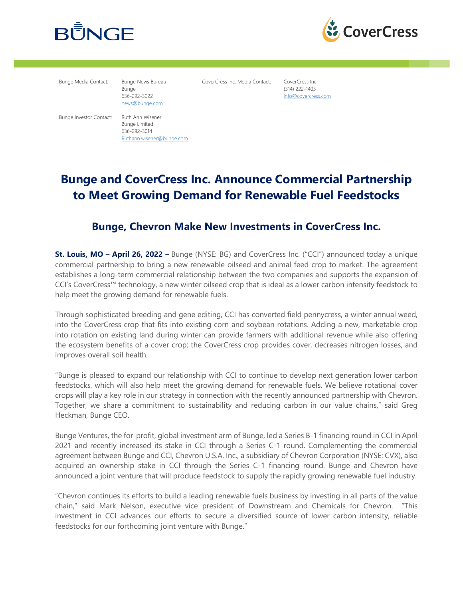



Bunge Media Contact: Bunge News Bureau

Bunge 636-292-3022 news@bunge.com CoverCress Inc. Media Contact: CoverCress Inc.

(314) 222-1403 info@covercress.com

Bunge Investor Contact: Ruth Ann Wisener

Bunge Limited 636-292-3014 Ruthann.wisener@bunge.com

### **Bunge and CoverCress Inc. Announce Commercial Partnership to Meet Growing Demand for Renewable Fuel Feedstocks**

### **Bunge, Chevron Make New Investments in CoverCress Inc.**

**St. Louis, MO – April 26, 2022 –** Bunge (NYSE: BG) and CoverCress Inc. ("CCI") announced today a unique commercial partnership to bring a new renewable oilseed and animal feed crop to market. The agreement establishes a long-term commercial relationship between the two companies and supports the expansion of CCI's CoverCress™ technology, a new winter oilseed crop that is ideal as a lower carbon intensity feedstock to help meet the growing demand for renewable fuels.

Through sophisticated breeding and gene editing, CCI has converted field pennycress, a winter annual weed, into the CoverCress crop that fits into existing corn and soybean rotations. Adding a new, marketable crop into rotation on existing land during winter can provide farmers with additional revenue while also offering the ecosystem benefits of a cover crop; the CoverCress crop provides cover, decreases nitrogen losses, and improves overall soil health.

"Bunge is pleased to expand our relationship with CCI to continue to develop next generation lower carbon feedstocks, which will also help meet the growing demand for renewable fuels. We believe rotational cover crops will play a key role in our strategy in connection with the recently announced partnership with Chevron. Together, we share a commitment to sustainability and reducing carbon in our value chains," said Greg Heckman, Bunge CEO.

Bunge Ventures, the for-profit, global investment arm of Bunge, led a Series B-1 financing round in CCI in April 2021 and recently increased its stake in CCI through a Series C-1 round. Complementing the commercial agreement between Bunge and CCI, Chevron U.S.A. Inc., a subsidiary of Chevron Corporation (NYSE: CVX), also acquired an ownership stake in CCI through the Series C-1 financing round. Bunge and Chevron have announced a joint venture that will produce feedstock to supply the rapidly growing renewable fuel industry.

"Chevron continues its efforts to build a leading renewable fuels business by investing in all parts of the value chain," said Mark Nelson, executive vice president of Downstream and Chemicals for Chevron. "This investment in CCI advances our efforts to secure a diversified source of lower carbon intensity, reliable feedstocks for our forthcoming joint venture with Bunge."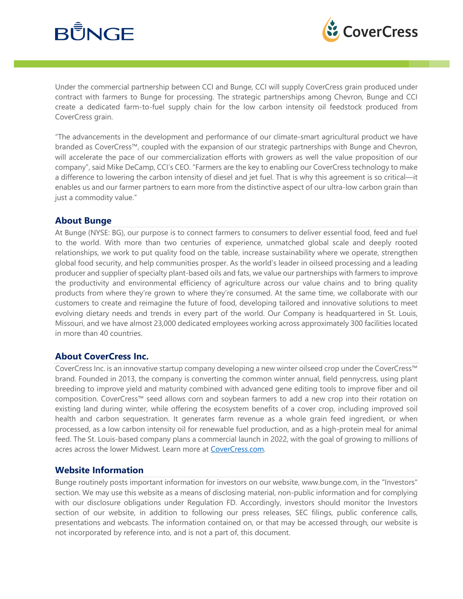# **BUNGE**



Under the commercial partnership between CCI and Bunge, CCI will supply CoverCress grain produced under contract with farmers to Bunge for processing. The strategic partnerships among Chevron, Bunge and CCI create a dedicated farm-to-fuel supply chain for the low carbon intensity oil feedstock produced from CoverCress grain.

"The advancements in the development and performance of our climate-smart agricultural product we have branded as CoverCress™, coupled with the expansion of our strategic partnerships with Bunge and Chevron, will accelerate the pace of our commercialization efforts with growers as well the value proposition of our company", said Mike DeCamp, CCI's CEO. "Farmers are the key to enabling our CoverCress technology to make a difference to lowering the carbon intensity of diesel and jet fuel. That is why this agreement is so critical—it enables us and our farmer partners to earn more from the distinctive aspect of our ultra-low carbon grain than just a commodity value."

#### **About Bunge**

At Bunge (NYSE: BG), our purpose is to connect farmers to consumers to deliver essential food, feed and fuel to the world. With more than two centuries of experience, unmatched global scale and deeply rooted relationships, we work to put quality food on the table, increase sustainability where we operate, strengthen global food security, and help communities prosper. As the world's leader in oilseed processing and a leading producer and supplier of specialty plant-based oils and fats, we value our partnerships with farmers to improve the productivity and environmental efficiency of agriculture across our value chains and to bring quality products from where they're grown to where they're consumed. At the same time, we collaborate with our customers to create and reimagine the future of food, developing tailored and innovative solutions to meet evolving dietary needs and trends in every part of the world. Our Company is headquartered in St. Louis, Missouri, and we have almost 23,000 dedicated employees working across approximately 300 facilities located in more than 40 countries.

#### **About CoverCress Inc.**

CoverCress Inc. is an innovative startup company developing a new winter oilseed crop under the CoverCress™ brand. Founded in 2013, the company is converting the common winter annual, field pennycress, using plant breeding to improve yield and maturity combined with advanced gene editing tools to improve fiber and oil composition. CoverCress™ seed allows corn and soybean farmers to add a new crop into their rotation on existing land during winter, while offering the ecosystem benefits of a cover crop, including improved soil health and carbon sequestration. It generates farm revenue as a whole grain feed ingredient, or when processed, as a low carbon intensity oil for renewable fuel production, and as a high-protein meal for animal feed. The St. Louis-based company plans a commercial launch in 2022, with the goal of growing to millions of acres across the lower Midwest. Learn more at CoverCress.com.

#### **Website Information**

Bunge routinely posts important information for investors on our website, www.bunge.com, in the "Investors" section. We may use this website as a means of disclosing material, non-public information and for complying with our disclosure obligations under Regulation FD. Accordingly, investors should monitor the Investors section of our website, in addition to following our press releases, SEC filings, public conference calls, presentations and webcasts. The information contained on, or that may be accessed through, our website is not incorporated by reference into, and is not a part of, this document.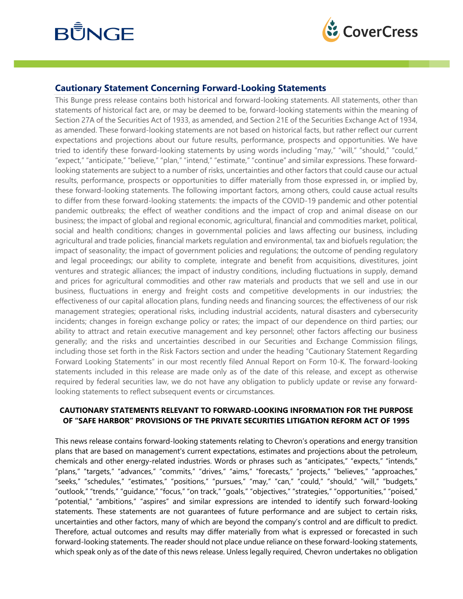# **BUNGE**



#### **Cautionary Statement Concerning Forward-Looking Statements**

This Bunge press release contains both historical and forward-looking statements. All statements, other than statements of historical fact are, or may be deemed to be, forward-looking statements within the meaning of Section 27A of the Securities Act of 1933, as amended, and Section 21E of the Securities Exchange Act of 1934, as amended. These forward-looking statements are not based on historical facts, but rather reflect our current expectations and projections about our future results, performance, prospects and opportunities. We have tried to identify these forward-looking statements by using words including "may," "will," "should," "could," "expect," "anticipate," "believe," "plan," "intend," "estimate," "continue" and similar expressions. These forwardlooking statements are subject to a number of risks, uncertainties and other factors that could cause our actual results, performance, prospects or opportunities to differ materially from those expressed in, or implied by, these forward-looking statements. The following important factors, among others, could cause actual results to differ from these forward-looking statements: the impacts of the COVID-19 pandemic and other potential pandemic outbreaks; the effect of weather conditions and the impact of crop and animal disease on our business; the impact of global and regional economic, agricultural, financial and commodities market, political, social and health conditions; changes in governmental policies and laws affecting our business, including agricultural and trade policies, financial markets regulation and environmental, tax and biofuels regulation; the impact of seasonality; the impact of government policies and regulations; the outcome of pending regulatory and legal proceedings; our ability to complete, integrate and benefit from acquisitions, divestitures, joint ventures and strategic alliances; the impact of industry conditions, including fluctuations in supply, demand and prices for agricultural commodities and other raw materials and products that we sell and use in our business, fluctuations in energy and freight costs and competitive developments in our industries; the effectiveness of our capital allocation plans, funding needs and financing sources; the effectiveness of our risk management strategies; operational risks, including industrial accidents, natural disasters and cybersecurity incidents; changes in foreign exchange policy or rates; the impact of our dependence on third parties; our ability to attract and retain executive management and key personnel; other factors affecting our business generally; and the risks and uncertainties described in our Securities and Exchange Commission filings, including those set forth in the Risk Factors section and under the heading "Cautionary Statement Regarding Forward Looking Statements" in our most recently filed Annual Report on Form 10-K. The forward-looking statements included in this release are made only as of the date of this release, and except as otherwise required by federal securities law, we do not have any obligation to publicly update or revise any forwardlooking statements to reflect subsequent events or circumstances.

#### **CAUTIONARY STATEMENTS RELEVANT TO FORWARD-LOOKING INFORMATION FOR THE PURPOSE OF "SAFE HARBOR" PROVISIONS OF THE PRIVATE SECURITIES LITIGATION REFORM ACT OF 1995**

This news release contains forward-looking statements relating to Chevron's operations and energy transition plans that are based on management's current expectations, estimates and projections about the petroleum, chemicals and other energy-related industries. Words or phrases such as "anticipates," "expects," "intends," "plans," "targets," "advances," "commits," "drives," "aims," "forecasts," "projects," "believes," "approaches," "seeks," "schedules," "estimates," "positions," "pursues," "may," "can," "could," "should," "will," "budgets," "outlook," "trends," "guidance," "focus," "on track," "goals," "objectives," "strategies," "opportunities," "poised," "potential," "ambitions," "aspires" and similar expressions are intended to identify such forward-looking statements. These statements are not guarantees of future performance and are subject to certain risks, uncertainties and other factors, many of which are beyond the company's control and are difficult to predict. Therefore, actual outcomes and results may differ materially from what is expressed or forecasted in such forward-looking statements. The reader should not place undue reliance on these forward-looking statements, which speak only as of the date of this news release. Unless legally required, Chevron undertakes no obligation